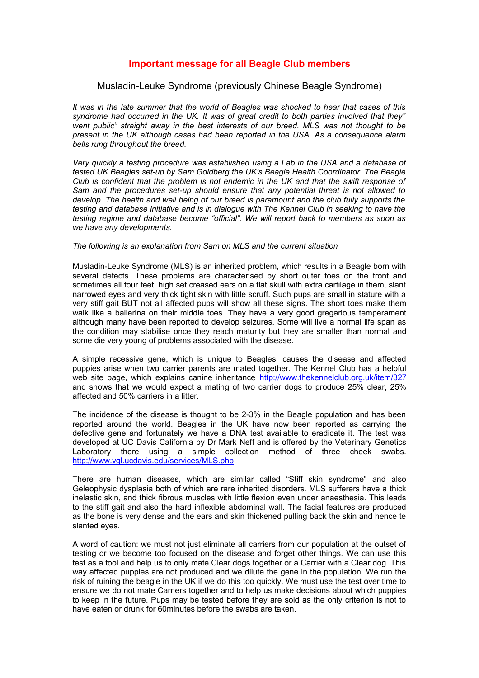## **Important message for all Beagle Club members**

## Musladin-Leuke Syndrome (previously Chinese Beagle Syndrome)

*It was in the late summer that the world of Beagles was shocked to hear that cases of this syndrome had occurred in the UK. It was of great credit to both parties involved that they" went public" straight away in the best interests of our breed. MLS was not thought to be present in the UK although cases had been reported in the USA. As a consequence alarm bells rung throughout the breed.*

*Very quickly a testing procedure was established using a Lab in the USA and a database of tested UK Beagles set-up by Sam Goldberg the UK's Beagle Health Coordinator. The Beagle Club is confident that the problem is not endemic in the UK and that the swift response of Sam and the procedures set-up should ensure that any potential threat is not allowed to develop. The health and well being of our breed is paramount and the club fully supports the testing and database initiative and is in dialogue with The Kennel Club in seeking to have the testing regime and database become "official". We will report back to members as soon as we have any developments.* 

## *The following is an explanation from Sam on MLS and the current situation*

Musladin-Leuke Syndrome (MLS) is an inherited problem, which results in a Beagle born with several defects. These problems are characterised by short outer toes on the front and sometimes all four feet, high set creased ears on a flat skull with extra cartilage in them, slant narrowed eyes and very thick tight skin with little scruff. Such pups are small in stature with a very stiff gait BUT not all affected pups will show all these signs. The short toes make them walk like a ballerina on their middle toes. They have a very good gregarious temperament although many have been reported to develop seizures. Some will live a normal life span as the condition may stabilise once they reach maturity but they are smaller than normal and some die very young of problems associated with the disease.

A simple recessive gene, which is unique to Beagles, causes the disease and affected puppies arise when two carrier parents are mated together. The Kennel Club has a helpful web site page, which explains canine inheritance<http://www.thekennelclub.org.uk/item/327> and shows that we would expect a mating of two carrier dogs to produce 25% clear, 25% affected and 50% carriers in a litter.

The incidence of the disease is thought to be 2-3% in the Beagle population and has been reported around the world. Beagles in the UK have now been reported as carrying the defective gene and fortunately we have a DNA test available to eradicate it. The test was developed at UC Davis California by Dr Mark Neff and is offered by the Veterinary Genetics Laboratory there using a simple collection method of three cheek swabs. <http://www.vgl.ucdavis.edu/services/MLS.php>

There are human diseases, which are similar called "Stiff skin syndrome" and also Geleophysic dysplasia both of which are rare inherited disorders. MLS sufferers have a thick inelastic skin, and thick fibrous muscles with little flexion even under anaesthesia. This leads to the stiff gait and also the hard inflexible abdominal wall. The facial features are produced as the bone is very dense and the ears and skin thickened pulling back the skin and hence te slanted eyes.

A word of caution: we must not just eliminate all carriers from our population at the outset of testing or we become too focused on the disease and forget other things. We can use this test as a tool and help us to only mate Clear dogs together or a Carrier with a Clear dog. This way affected puppies are not produced and we dilute the gene in the population. We run the risk of ruining the beagle in the UK if we do this too quickly. We must use the test over time to ensure we do not mate Carriers together and to help us make decisions about which puppies to keep in the future. Pups may be tested before they are sold as the only criterion is not to have eaten or drunk for 60minutes before the swabs are taken.